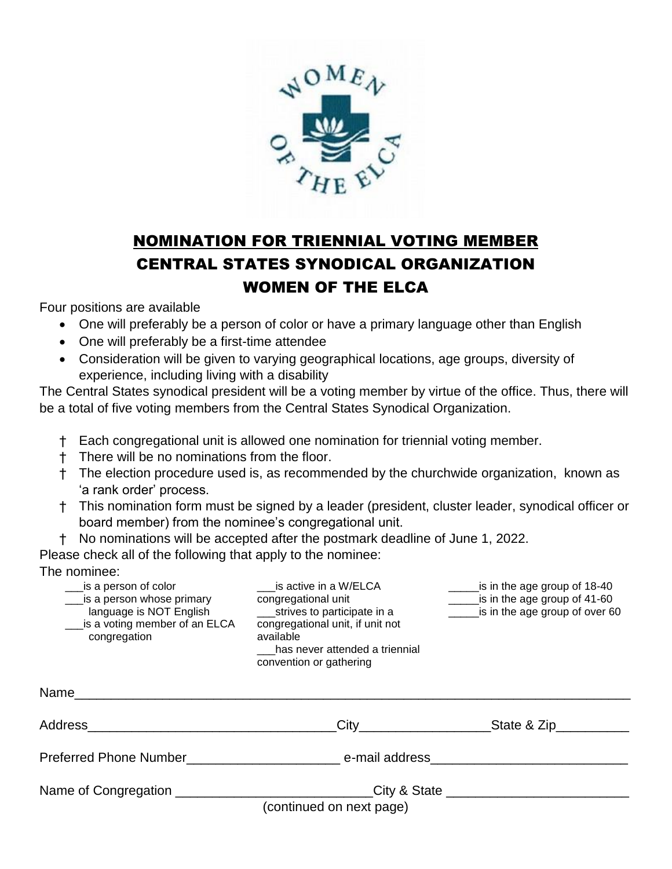

## NOMINATION FOR TRIENNIAL VOTING MEMBER CENTRAL STATES SYNODICAL ORGANIZATION WOMEN OF THE ELCA

Four positions are available

- One will preferably be a person of color or have a primary language other than English
- One will preferably be a first-time attendee
- Consideration will be given to varying geographical locations, age groups, diversity of experience, including living with a disability

The Central States synodical president will be a voting member by virtue of the office. Thus, there will be a total of five voting members from the Central States Synodical Organization.

- † Each congregational unit is allowed one nomination for triennial voting member.
- † There will be no nominations from the floor.
- † The election procedure used is, as recommended by the churchwide organization, known as 'a rank order' process.
- † This nomination form must be signed by a leader (president, cluster leader, synodical officer or board member) from the nominee's congregational unit.
- † No nominations will be accepted after the postmark deadline of June 1, 2022.

Please check all of the following that apply to the nominee:

The nominee:

| is a person of color<br>is a person whose primary<br>language is NOT English<br>is a voting member of an ELCA<br>congregation | is active in a W/ELCA<br>congregational unit<br>strives to participate in a<br>congregational unit, if unit not<br>available<br>has never attended a triennial<br>convention or gathering | is in the age group of 18-40<br>is in the age group of 41-60<br>is in the age group of over 60 |
|-------------------------------------------------------------------------------------------------------------------------------|-------------------------------------------------------------------------------------------------------------------------------------------------------------------------------------------|------------------------------------------------------------------------------------------------|
| Name                                                                                                                          |                                                                                                                                                                                           |                                                                                                |
| Address                                                                                                                       | City                                                                                                                                                                                      | State & Zip                                                                                    |

Preferred Phone Number and an e-mail address

Name of Congregation \_\_\_\_\_\_\_\_\_\_\_\_\_\_\_\_\_\_\_\_\_\_\_\_\_\_\_\_\_City & State \_\_\_\_\_\_\_\_\_\_\_\_\_\_\_\_\_\_

(continued on next page)